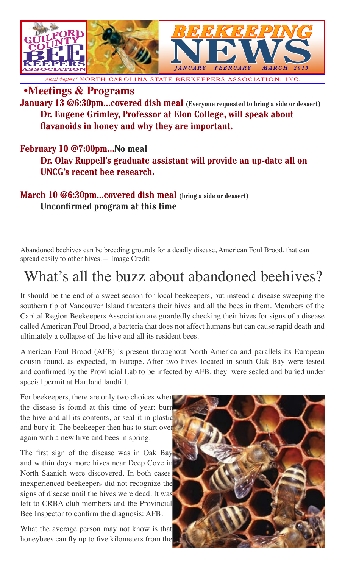

*a local chapter of* NORTH CAROLINA STATE BEEKEEPERS ASSOCIATION, INC.

**•Meetings & Programs**

**January 13 @6:30pm...covered dish meal** (Everyone requested to bring a side or dessert) **Dr. Eugene Grimley, Professor at Elon College, will speak about flavanoids in honey and why they are important.**

### **February 10 @7:00pm...No meal**

**Dr. Olav Ruppell's graduate assistant will provide an up-date all on UNCG's recent bee research.**

### **March 10 @6:30pm...covered dish meal (bring a side or dessert) Unconfirmed program at this time**

Abandoned beehives can be breeding grounds for a deadly disease, American Foul Brood, that can spread easily to other hives.— Image Credit

## What's all the buzz about abandoned beehives?

It should be the end of a sweet season for local beekeepers, but instead a disease sweeping the southern tip of Vancouver Island threatens their hives and all the bees in them. Members of the Capital Region Beekeepers Association are guardedly checking their hives for signs of a disease called American Foul Brood, a bacteria that does not affect humans but can cause rapid death and ultimately a collapse of the hive and all its resident bees.

American Foul Brood (AFB) is present throughout North America and parallels its European cousin found, as expected, in Europe. After two hives located in south Oak Bay were tested and confirmed by the Provincial Lab to be infected by AFB, they were sealed and buried under special permit at Hartland landfill.

For beekeepers, there are only two choices when the disease is found at this time of year: burn the hive and all its contents, or seal it in plastic and bury it. The beekeeper then has to start over again with a new hive and bees in spring.

The first sign of the disease was in Oak Bay and within days more hives near Deep Cove in North Saanich were discovered. In both cases, inexperienced beekeepers did not recognize the signs of disease until the hives were dead. It was left to CRBA club members and the Provincial Bee Inspector to confirm the diagnosis: AFB.

What the average person may not know is that honeybees can fly up to five kilometers from the

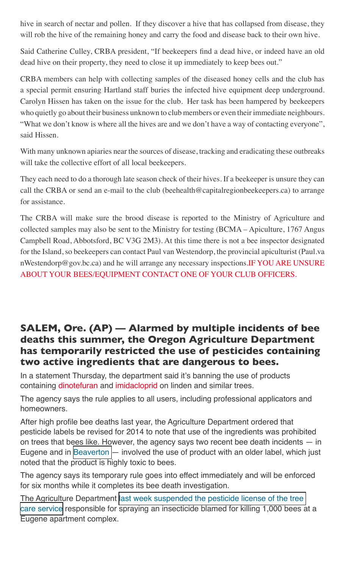hive in search of nectar and pollen. If they discover a hive that has collapsed from disease, they will rob the hive of the remaining honey and carry the food and disease back to their own hive.

Said Catherine Culley, CRBA president, "If beekeepers find a dead hive, or indeed have an old dead hive on their property, they need to close it up immediately to keep bees out."

CRBA members can help with collecting samples of the diseased honey cells and the club has a special permit ensuring Hartland staff buries the infected hive equipment deep underground. Carolyn Hissen has taken on the issue for the club. Her task has been hampered by beekeepers who quietly go about their business unknown to club members or even their immediate neighbours. "What we don't know is where all the hives are and we don't have a way of contacting everyone", said Hissen.

With many unknown apiaries near the sources of disease, tracking and eradicating these outbreaks will take the collective effort of all local beekeepers.

They each need to do a thorough late season check of their hives. If a beekeeper is unsure they can call the CRBA or send an e-mail to the club (beehealth@capitalregionbeekeepers.ca) to arrange for assistance.

The CRBA will make sure the brood disease is reported to the Ministry of Agriculture and collected samples may also be sent to the Ministry for testing (BCMA – Apiculture, 1767 Angus Campbell Road, Abbotsford, BC V3G 2M3). At this time there is not a bee inspector designated for the Island, so beekeepers can contact Paul van Westendorp, the provincial apiculturist (Paul.va nWestendorp@gov.bc.ca) and he will arrange any necessary inspections.IF YOU ARE UNSURE ABOUT YOUR BEES/EQUIPMENT CONTACT ONE OF YOUR CLUB OFFICERS.

### **SALEM, Ore. (AP) — Alarmed by multiple incidents of bee deaths this summer, the Oregon Agriculture Department has temporarily restricted the use of pesticides containing two active ingredients that are dangerous to bees.**

In a statement Thursday, the department said it's banning the use of products containing dinotefuran and imidacloprid on linden and similar trees.

The agency says the rule applies to all users, including professional applicators and homeowners.

After high profile bee deaths last year, the Agriculture Department ordered that pesticide labels be revised for 2014 to note that use of the ingredients was prohibited on trees that bees like. However, the agency says two recent bee death incidents — in Eugene and in [Beaverton —](http://koin.com/2014/06/23/state-investigating-death-of-bees-in-beaverton/) involved the use of product with an older label, which just noted that the product is highly toxic to bees.

The agency says its temporary rule goes into effect immediately and will be enforced for six months while it completes its bee death investigation.

The Agriculture Department [last week suspended the pesticide license of the tree](http://koin.com/2014/06/21/oregon-suspends-license-of-sprayer-in-bee-kill/)  [care service](http://koin.com/2014/06/21/oregon-suspends-license-of-sprayer-in-bee-kill/) responsible for spraying an insecticide blamed for killing 1,000 bees at a Eugene apartment complex.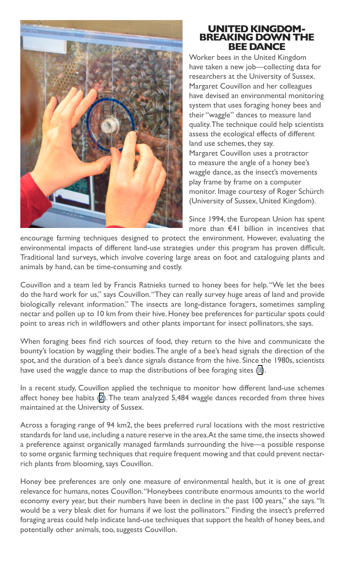

### **UNITED KINGDOM-BREAKING DOWN THE BEE DANCE**

Worker bees in the United Kingdom have taken a new job—collecting data for researchers at the University of Sussex. Margaret Couvillon and her colleagues have devised an environmental monitoring system that uses foraging honey bees and their "waggle" dances to measure land quality. The technique could help scientists assess the ecological effects of different land use schemes, they say. Margaret Couvillon uses a protractor

to measure the angle of a honey bee's waggle dance, as the insect's movements play frame by frame on a computer monitor. Image courtesy of Roger Schürch (University of Sussex, United Kingdom).

Since 1994, the European Union has spent more than €41 billion in incentives that

encourage farming techniques designed to protect the environment. However, evaluating the environmental impacts of different land-use strategies under this program has proven difficult. Traditional land surveys, which involve covering large areas on foot and cataloguing plants and animals by hand, can be time-consuming and costly.

Couvillon and a team led by Francis Ratnieks turned to honey bees for help. "We let the bees do the hard work for us," says Couvillon. "They can really survey huge areas of land and provide biologically relevant information." The insects are long-distance foragers, sometimes sampling nectar and pollen up to 10 km from their hive. Honey bee preferences for particular spots could point to areas rich in wildflowers and other plants important for insect pollinators, she says.

When foraging bees find rich sources of food, they return to the hive and communicate the bounty's location by waggling their bodies. The angle of a bee's head signals the direction of the spot, and the duration of a bee's dance signals distance from the hive. Since the 1980s, scientists have used the waggle dance to map the distributions of bee foraging sites [\(1](http://www.pnas.org/content/111/45/15857.full#ref-1)).

In a recent study, Couvillon applied the technique to monitor how different land-use schemes affect honey bee habits ([2\)](http://www.pnas.org/content/111/45/15857.full#ref-2). The team analyzed 5,484 waggle dances recorded from three hives maintained at the University of Sussex.

Across a foraging range of 94 km2, the bees preferred rural locations with the most restrictive standards for land use, including a nature reserve in the area. At the same time, the insects showed a preference against organically managed farmlands surrounding the hive—a possible response to some organic farming techniques that require frequent mowing and that could prevent nectarrich plants from blooming, says Couvillon.

Honey bee preferences are only one measure of environmental health, but it is one of great relevance for humans, notes Couvillon. "Honeybees contribute enormous amounts to the world economy every year, but their numbers have been in decline in the past 100 years," she says. "It would be a very bleak diet for humans if we lost the pollinators." Finding the insect's preferred foraging areas could help indicate land-use techniques that support the health of honey bees, and potentially other animals, too, suggests Couvillon.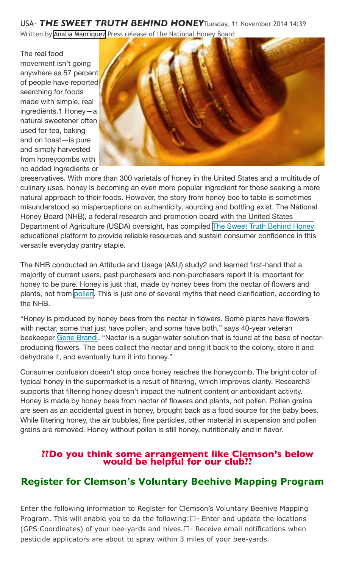USA- *THE SWEET TRUTH BEHIND HONEY*Tuesday, 11 November 2014 14:39 Written by [Analia Manriquez](http://www.apinews.com/en/component/k2/itemlist/user/64-analiamanriquez) Press release of the National Honey Board

The real food movement isn't going anywhere as 57 percent of people have reported searching for foods made with simple, real ingredients.1 Honey—a natural sweetener often used for tea, baking and on toast—is pure and simply harvested from honeycombs with no added ingredients or



preservatives. With more than 300 varietals of honey in the United States and a multitude of culinary uses, honey is becoming an even more popular ingredient for those seeking a more natural approach to their foods. However, the story from honey bee to table is sometimes misunderstood so misperceptions on authenticity, sourcing and bottling exist. The National Honey Board (NHB), a federal research and promotion board with the United States Department of Agriculture (USDA) oversight, has compiled [The Sweet Truth Behind Honey](http://www.storyofhoney.com/) educational platform to provide reliable resources and sustain consumer confidence in this versatile everyday pantry staple.

The NHB conducted an Attitude and Usage (A&U) study2 and learned first-hand that a majority of current users, past purchasers and non-purchasers report it is important for honey to be pure. Honey is just that, made by honey bees from the nectar of flowers and plants, not from [pollen](http://www.honey.com/honey-at-home/learn-about-honey). This is just one of several myths that need clarification, according to the NHB.

"Honey is produced by honey bees from the nectar in flowers. Some plants have flowers with nectar, some that just have pollen, and some have both," says 40-year veteran beekeeper [Gene Brandi.](https://www.youtube.com/watch?v=b1v1aLL50-o&list=UUwOQevkKn0CIuvLtYfqiMPg) "Nectar is a sugar-water solution that is found at the base of nectarproducing flowers. The bees collect the nectar and bring it back to the colony, store it and dehydrate it, and eventually turn it into honey."

Consumer confusion doesn't stop once honey reaches the honeycomb. The bright color of typical honey in the supermarket is a result of filtering, which improves clarity. Research3 supports that filtering honey doesn't impact the nutrient content or antioxidant activity. Honey is made by honey bees from nectar of flowers and plants, not pollen. Pollen grains are seen as an accidental guest in honey, brought back as a food source for the baby bees. While filtering honey, the air bubbles, fine particles, other material in suspension and pollen grains are removed. Honey without pollen is still honey, nutritionally and in flavor.

# **??Do you think some arrangement like Clemson's below would be helpful for our club??**

### **Register for Clemson's Voluntary Beehive Mapping Program**

Enter the following information to Register for Clemson's Voluntary Beehive Mapping Program. This will enable you to do the following: $\Box$ - Enter and update the locations (GPS Coordinates) of your bee-yards and hives. $\Box$ - Receive email notifications when pesticide applicators are about to spray within 3 miles of your bee-yards.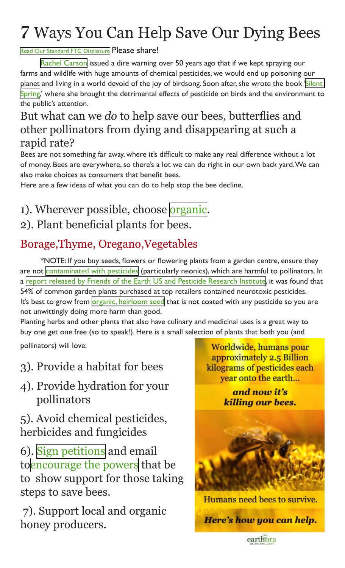# *7* Ways You Can Help Save Our Dying Bees

#### [Read Our Standard FTC Disclosure](http://earthora.com/standard-ftc-disclosure/) Please share!

[Rachel Carson](http://en.wikipedia.org/wiki/Rachel_Carson) issued a dire warning over 50 years ago that if we kept spraying our farms and wildlife with huge amounts of chemical pesticides, we would end up poisoning our planet and living in a world devoid of the joy of birdsong. Soon after, she wrote the book ['Silent](http://en.wikipedia.org/wiki/Silent_Spring)  [Spring](http://en.wikipedia.org/wiki/Silent_Spring),' where she brought the detrimental effects of pesticide on birds and the environment to the public's attention.

### But what can we *do* to help save our bees, butterflies and other pollinators from dying and disappearing at such a rapid rate?

Bees are not something far away, where it's difficult to make any real difference without a lot of money. Bees are everywhere, so there's a lot we can do right in our own back yard. We can also make choices as consumers that benefit bees.

Here are a few ideas of what you can do to help stop the bee decline.

## 1). Wherever possible, choose [organic](http://earthora.com/product-category/organic-gardening/). 2). Plant beneficial plants for bees.

## Borage,Thyme, Oregano,Vegetables

\*NOTE: If you buy seeds, flowers or flowering plants from a garden centre, ensure they are not [contaminated with pesticides](http://articles.mercola.com/sites/articles/archive/2013/09/03/garden-plants-pesticides.aspx) (particularly neonics), which are harmful to pollinators. In a [report released by Friends of the Earth US and Pesticide Research Institute,](http://libcloud.s3.amazonaws.com/93/88/f/3354/Gardeners-Beware-Report-11.pdf) it was found that 54% of common garden plants purchased at top retailers contained neurotoxic pesticides. It's best to grow from [organic, heirloom seed](http://earthora.com/sub/organic-gardening/buy-organic-seeds/) that is not coated with any pesticide so you are not unwittingly doing more harm than good.

Planting herbs and other plants that also have culinary and medicinal uses is a great way to buy one get one free (so to speak!). Here is a small selection of plants that both you (and

pollinators) will love:

- 3). Provide a habitat for bees
- 4). Provide hydration for your pollinators
- 5). Avoid chemical pesticides, herbicides and fungicides

6). [Sign petitions](http://www.change.org/en-CA/petitions/save-ontario-s-bees-ban-the-use-of-neonicotinoid-pesticides) and email to[encourage the powers](https://www.credomobilize.com/petitions/michelle-obama-stand-up-for-bees-in-the-white-house-garden-and-beyond?source=tw_sp&sp_ref=38478958.4.7447.t.0.2) that be to show support for those taking steps to save bees.

 7). Support local and organic honey producers.

Worldwide, humans pour approximately 2.5 Billion kilograms of pesticides each year onto the earth...

> and now it's killing our bees.



Humans need bees to survive. Here's how you can help.

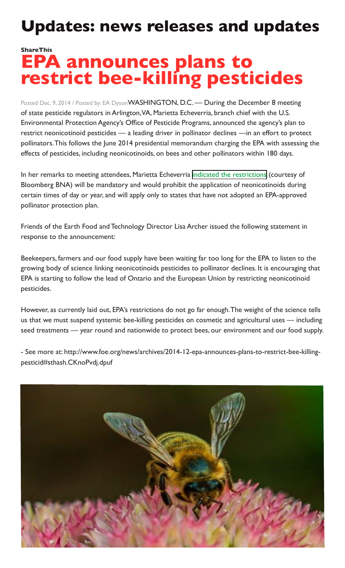# **Updates: news releases and updates**

## **ShareThis EPA announces plans to restrict bee-killing pesticides**

Posted Dec. 9, 2014 / Posted by: EA DysonWASHINGTON, D.C. - During the December 8 meeting of state pesticide regulators in Arlington, VA, Marietta Echeverria, branch chief with the U.S. Environmental Protection Agency's Office of Pesticide Programs, announced the agency's plan to restrict neonicotinoid pesticides — a leading driver in pollinator declines —in an effort to protect pollinators. This follows the June 2014 presidential memorandum charging the EPA with assessing the effects of pesticides, including neonicotinoids, on bees and other pollinators within 180 days.

In her remarks to meeting attendees, Marietta Echeverria [indicated the restrictions](http://news.bna.com/deln/DELNWB/split_display.adp?fedfid=60014166&vname=dennotallissues&jd=a0g0a4p7u9&split=0) (courtesy of Bloomberg BNA) will be mandatory and would prohibit the application of neonicotinoids during certain times of day or year, and will apply only to states that have not adopted an EPA-approved pollinator protection plan.

Friends of the Earth Food and Technology Director Lisa Archer issued the following statement in response to the announcement:

Beekeepers, farmers and our food supply have been waiting far too long for the EPA to listen to the growing body of science linking neonicotinoids pesticides to pollinator declines. It is encouraging that EPA is starting to follow the lead of Ontario and the European Union by restricting neonicotinoid pesticides.

However, as currently laid out, EPA's restrictions do not go far enough. The weight of the science tells us that we must suspend systemic bee-killing pesticides on cosmetic and agricultural uses — including seed treatments — year round and nationwide to protect bees, our environment and our food supply.

- See more at: http://www.foe.org/news/archives/2014-12-epa-announces-plans-to-restrict-bee-killingpesticid#sthash.CKnoPvdj.dpuf